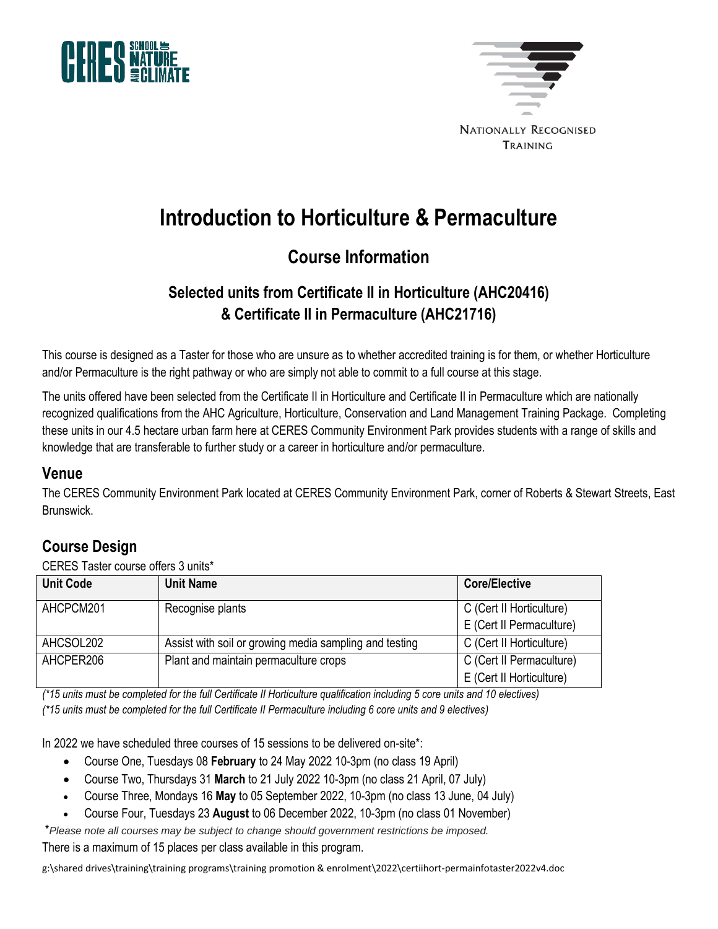



# **Introduction to Horticulture & Permaculture**

## **Course Information**

## **Selected units from Certificate II in Horticulture (AHC20416) & Certificate II in Permaculture (AHC21716)**

This course is designed as a Taster for those who are unsure as to whether accredited training is for them, or whether Horticulture and/or Permaculture is the right pathway or who are simply not able to commit to a full course at this stage.

The units offered have been selected from the Certificate II in Horticulture and Certificate II in Permaculture which are nationally recognized qualifications from the AHC Agriculture, Horticulture, Conservation and Land Management Training Package. Completing these units in our 4.5 hectare urban farm here at CERES Community Environment Park provides students with a range of skills and knowledge that are transferable to further study or a career in horticulture and/or permaculture.

#### **Venue**

The CERES Community Environment Park located at CERES Community Environment Park, corner of Roberts & Stewart Streets, East Brunswick.

#### **Course Design**

CERES Taster course offers 3 units\*

| <b>Unit Code</b> | <b>Unit Name</b>                                       | Core/Elective            |
|------------------|--------------------------------------------------------|--------------------------|
| AHCPCM201        | Recognise plants                                       | C (Cert II Horticulture) |
|                  |                                                        | E (Cert II Permaculture) |
| AHCSOL202        | Assist with soil or growing media sampling and testing | C (Cert II Horticulture) |
| AHCPER206        | Plant and maintain permaculture crops                  | C (Cert II Permaculture) |
|                  |                                                        | E (Cert II Horticulture) |

*(\*15 units must be completed for the full Certificate II Horticulture qualification including 5 core units and 10 electives) (\*15 units must be completed for the full Certificate II Permaculture including 6 core units and 9 electives)*

In 2022 we have scheduled three courses of 15 sessions to be delivered on-site\*:

- Course One, Tuesdays 08 **February** to 24 May 2022 10-3pm (no class 19 April)
- Course Two, Thursdays 31 **March** to 21 July 2022 10-3pm (no class 21 April, 07 July)
- Course Three, Mondays 16 **May** to 05 September 2022, 10-3pm (no class 13 June, 04 July)
- Course Four, Tuesdays 23 **August** to 06 December 2022, 10-3pm (no class 01 November)

\**Please note all courses may be subject to change should government restrictions be imposed.*

There is a maximum of 15 places per class available in this program.

g:\shared drives\training\training programs\training promotion & enrolment\2022\certiihort-permainfotaster2022v4.doc